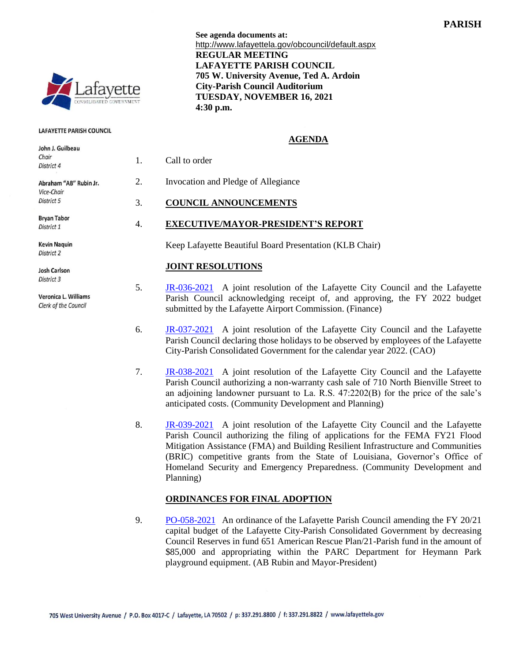

#### **LAFAYETTE PARISH COUNCIL**

| John J. Guilbeau<br>Chair<br>District 4                    | 1. | Call to order                                                                                                                                                                                                                                                                                                           |
|------------------------------------------------------------|----|-------------------------------------------------------------------------------------------------------------------------------------------------------------------------------------------------------------------------------------------------------------------------------------------------------------------------|
| Abraham "AB" Rubin Jr.<br>Vice-Chair<br>District 5         | 2. | Invocation and Pledge of Allegiance                                                                                                                                                                                                                                                                                     |
|                                                            | 3. | <b>COUNCIL ANNOUNCEMENTS</b>                                                                                                                                                                                                                                                                                            |
| <b>Bryan Tabor</b><br>District 1                           | 4. | <b>EXECUTIVE/MAYOR-PRESIDENT'S REPORT</b>                                                                                                                                                                                                                                                                               |
| <b>Kevin Naquin</b><br>District 2                          |    | Keep Lafayette Beautiful Board Presentation (KLB Chair)                                                                                                                                                                                                                                                                 |
| <b>Josh Carlson</b>                                        |    | <b>JOINT RESOLUTIONS</b>                                                                                                                                                                                                                                                                                                |
| District 3<br>Veronica L. Williams<br>Clerk of the Council | 5. | JR-036-2021 A joint resolution of the Lafayette City Council and the Lafayette<br>Parish Council acknowledging receipt of, and approving, the FY 2022 budget<br>submitted by the Lafayette Airport Commission. (Finance)                                                                                                |
|                                                            | 6. | JR-037-2021 A joint resolution of the Lafayette City Council and the Lafayette<br>Parish Council declaring those holidays to be observed by employees of the Lafayette<br>City-Parish Consolidated Government for the calendar year 2022. (CAO)                                                                         |
|                                                            | 7. | JR-038-2021 A joint resolution of the Lafayette City Council and the Lafayette<br>Parish Council authorizing a non-warranty cash sale of 710 North Bienville Street to<br>an adjoining landowner pursuant to La. R.S. 47:2202(B) for the price of the sale's<br>anticipated costs. (Community Development and Planning) |

8. [JR-039-2021](http://apps.lafayettela.gov/OBCouncil/ViewDocument.aspx?docID=2064641) A joint resolution of the Lafayette City Council and the Lafayette Parish Council authorizing the filing of applications for the FEMA FY21 Flood Mitigation Assistance (FMA) and Building Resilient Infrastructure and Communities (BRIC) competitive grants from the State of Louisiana, Governor's Office of Homeland Security and Emergency Preparedness. (Community Development and Planning)

### **ORDINANCES FOR FINAL ADOPTION**

9. [PO-058-2021](http://apps.lafayettela.gov/OBCouncil/ViewDocument.aspx?docID=2064646) An ordinance of the Lafayette Parish Council amending the FY 20/21 capital budget of the Lafayette City-Parish Consolidated Government by decreasing Council Reserves in fund 651 American Rescue Plan/21-Parish fund in the amount of \$85,000 and appropriating within the PARC Department for Heymann Park playground equipment. (AB Rubin and Mayor-President)

**See agenda documents at:** http://www.lafayettela.gov/obcouncil/default.aspx **REGULAR MEETING LAFAYETTE PARISH COUNCIL 705 W. University Avenue, Ted A. Ardoin City-Parish Council Auditorium TUESDAY, NOVEMBER 16, 2021 4:30 p.m.**

#### **AGENDA**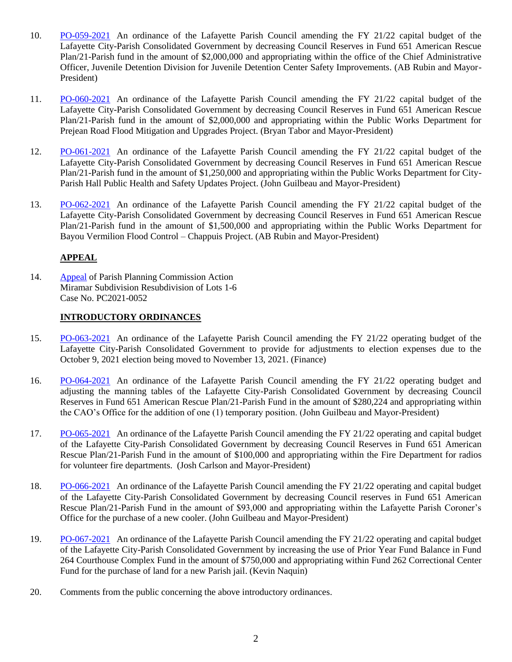- 10. [PO-059-2021](http://apps.lafayettela.gov/OBCouncil/ViewDocument.aspx?docID=2064556) An ordinance of the Lafayette Parish Council amending the FY 21/22 capital budget of the Lafayette City-Parish Consolidated Government by decreasing Council Reserves in Fund 651 American Rescue Plan/21-Parish fund in the amount of \$2,000,000 and appropriating within the office of the Chief Administrative Officer, Juvenile Detention Division for Juvenile Detention Center Safety Improvements. (AB Rubin and Mayor-President)
- 11. [PO-060-2021](http://apps.lafayettela.gov/OBCouncil/ViewDocument.aspx?docID=2064564) An ordinance of the Lafayette Parish Council amending the FY 21/22 capital budget of the Lafayette City-Parish Consolidated Government by decreasing Council Reserves in Fund 651 American Rescue Plan/21-Parish fund in the amount of \$2,000,000 and appropriating within the Public Works Department for Prejean Road Flood Mitigation and Upgrades Project. (Bryan Tabor and Mayor-President)
- 12. [PO-061-2021](http://apps.lafayettela.gov/OBCouncil/ViewDocument.aspx?docID=2064566) An ordinance of the Lafayette Parish Council amending the FY 21/22 capital budget of the Lafayette City-Parish Consolidated Government by decreasing Council Reserves in Fund 651 American Rescue Plan/21-Parish fund in the amount of \$1,250,000 and appropriating within the Public Works Department for City-Parish Hall Public Health and Safety Updates Project. (John Guilbeau and Mayor-President)
- 13. [PO-062-2021](http://apps.lafayettela.gov/OBCouncil/ViewDocument.aspx?docID=2064570) An ordinance of the Lafayette Parish Council amending the FY 21/22 capital budget of the Lafayette City-Parish Consolidated Government by decreasing Council Reserves in Fund 651 American Rescue Plan/21-Parish fund in the amount of \$1,500,000 and appropriating within the Public Works Department for Bayou Vermilion Flood Control – Chappuis Project. (AB Rubin and Mayor-President)

# **APPEAL**

14. [Appeal](http://apps.lafayettela.gov/OBCouncil/ViewDocument.aspx?docID=2064574) of Parish Planning Commission Action Miramar Subdivision Resubdivision of Lots 1-6 Case No. PC2021-0052

# **INTRODUCTORY ORDINANCES**

- 15. [PO-063-2021](http://apps.lafayettela.gov/OBCouncil/ViewDocument.aspx?docID=2064588) An ordinance of the Lafayette Parish Council amending the FY 21/22 operating budget of the Lafayette City-Parish Consolidated Government to provide for adjustments to election expenses due to the October 9, 2021 election being moved to November 13, 2021. (Finance)
- 16. [PO-064-2021](http://apps.lafayettela.gov/OBCouncil/ViewDocument.aspx?docID=2064592) An ordinance of the Lafayette Parish Council amending the FY 21/22 operating budget and adjusting the manning tables of the Lafayette City-Parish Consolidated Government by decreasing Council Reserves in Fund 651 American Rescue Plan/21-Parish Fund in the amount of \$280,224 and appropriating within the CAO's Office for the addition of one (1) temporary position. (John Guilbeau and Mayor-President)
- 17. [PO-065-2021](http://apps.lafayettela.gov/OBCouncil/ViewDocument.aspx?docID=2064593) An ordinance of the Lafayette Parish Council amending the FY 21/22 operating and capital budget of the Lafayette City-Parish Consolidated Government by decreasing Council Reserves in Fund 651 American Rescue Plan/21-Parish Fund in the amount of \$100,000 and appropriating within the Fire Department for radios for volunteer fire departments. (Josh Carlson and Mayor-President)
- 18. [PO-066-2021](http://apps.lafayettela.gov/OBCouncil/ViewDocument.aspx?docID=2064606) An ordinance of the Lafayette Parish Council amending the FY 21/22 operating and capital budget of the Lafayette City-Parish Consolidated Government by decreasing Council reserves in Fund 651 American Rescue Plan/21-Parish Fund in the amount of \$93,000 and appropriating within the Lafayette Parish Coroner's Office for the purchase of a new cooler. (John Guilbeau and Mayor-President)
- 19. [PO-067-2021](http://apps.lafayettela.gov/OBCouncil/ViewDocument.aspx?docID=2064609) An ordinance of the Lafayette Parish Council amending the FY 21/22 operating and capital budget of the Lafayette City-Parish Consolidated Government by increasing the use of Prior Year Fund Balance in Fund 264 Courthouse Complex Fund in the amount of \$750,000 and appropriating within Fund 262 Correctional Center Fund for the purchase of land for a new Parish jail. (Kevin Naquin)
- 20. Comments from the public concerning the above introductory ordinances.